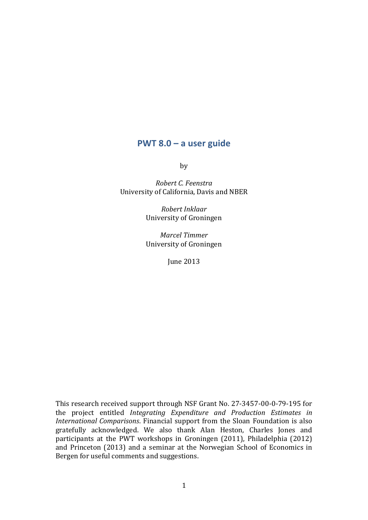# **PWT 8.0 – a user guide**

by

*Robert C. Feenstra* University of California, Davis and NBER

> *Robert Inklaar* University of Groningen

> *Marcel Timmer* University of Groningen

> > June 2013

This research received support through NSF Grant No. 27-3457-00-0-79-195 for the project entitled *Integrating Expenditure and Production Estimates in International Comparisons.* Financial support from the Sloan Foundation is also gratefully acknowledged. We also thank Alan Heston, Charles Jones and participants at the PWT workshops in Groningen (2011), Philadelphia (2012) and Princeton  $(2013)$  and a seminar at the Norwegian School of Economics in Bergen for useful comments and suggestions.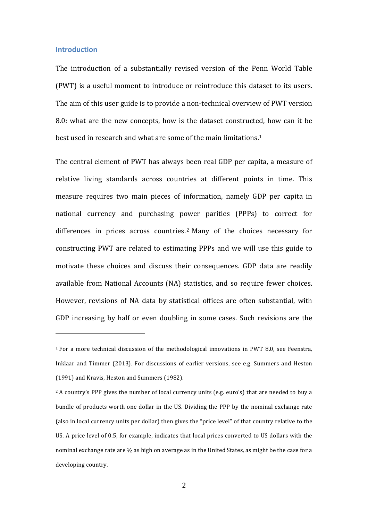## **Introduction**

 

The introduction of a substantially revised version of the Penn World Table (PWT) is a useful moment to introduce or reintroduce this dataset to its users. The aim of this user guide is to provide a non-technical overview of PWT version 8.0: what are the new concepts, how is the dataset constructed, how can it be best used in research and what are some of the main limitations.<sup>1</sup>

The central element of PWT has always been real GDP per capita, a measure of relative living standards across countries at different points in time. This measure requires two main pieces of information, namely GDP per capita in national currency and purchasing power parities (PPPs) to correct for differences in prices across countries.<sup>2</sup> Many of the choices necessary for constructing PWT are related to estimating PPPs and we will use this guide to motivate these choices and discuss their consequences. GDP data are readily available from National Accounts (NA) statistics, and so require fewer choices. However, revisions of NA data by statistical offices are often substantial, with GDP increasing by half or even doubling in some cases. Such revisions are the

 $1$  For a more technical discussion of the methodological innovations in PWT 8.0, see Feenstra, Inklaar and Timmer (2013). For discussions of earlier versions, see e.g. Summers and Heston (1991) and Kravis, Heston and Summers (1982).

 $2$  A country's PPP gives the number of local currency units (e.g. euro's) that are needed to buy a bundle of products worth one dollar in the US. Dividing the PPP by the nominal exchange rate (also in local currency units per dollar) then gives the "price level" of that country relative to the US. A price level of 0.5, for example, indicates that local prices converted to US dollars with the nominal exchange rate are  $\frac{1}{2}$  as high on average as in the United States, as might be the case for a developing country.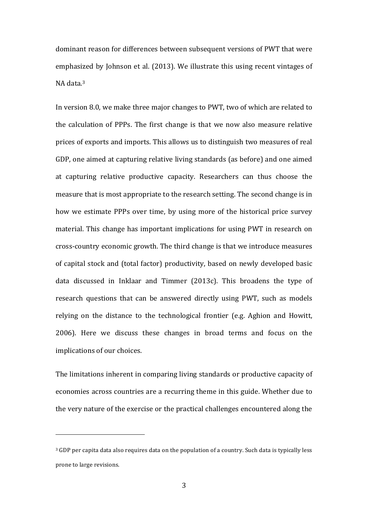dominant reason for differences between subsequent versions of PWT that were emphasized by Johnson et al. (2013). We illustrate this using recent vintages of NA data.<sup>3</sup>

In version 8.0, we make three major changes to PWT, two of which are related to the calculation of PPPs. The first change is that we now also measure relative prices of exports and imports. This allows us to distinguish two measures of real GDP, one aimed at capturing relative living standards (as before) and one aimed at capturing relative productive capacity. Researchers can thus choose the measure that is most appropriate to the research setting. The second change is in how we estimate PPPs over time, by using more of the historical price survey material. This change has important implications for using PWT in research on cross-country economic growth. The third change is that we introduce measures of capital stock and (total factor) productivity, based on newly developed basic data discussed in Inklaar and Timmer  $(2013c)$ . This broadens the type of research questions that can be answered directly using PWT, such as models relying on the distance to the technological frontier (e.g. Aghion and Howitt, 2006). Here we discuss these changes in broad terms and focus on the implications of our choices.

The limitations inherent in comparing living standards or productive capacity of economies across countries are a recurring theme in this guide. Whether due to the very nature of the exercise or the practical challenges encountered along the

<sup>&</sup>lt;sup>3</sup> GDP per capita data also requires data on the population of a country. Such data is typically less prone to large revisions.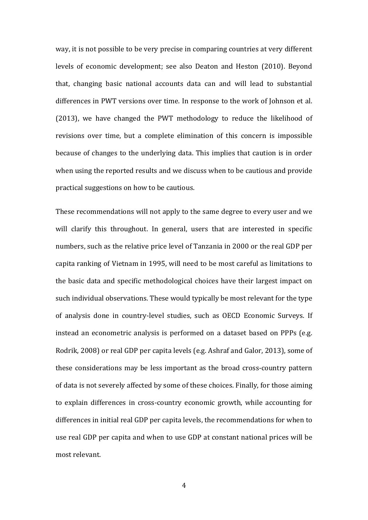way, it is not possible to be very precise in comparing countries at very different levels of economic development; see also Deaton and Heston (2010). Beyond that, changing basic national accounts data can and will lead to substantial differences in PWT versions over time. In response to the work of Johnson et al. (2013), we have changed the PWT methodology to reduce the likelihood of revisions over time, but a complete elimination of this concern is impossible because of changes to the underlying data. This implies that caution is in order when using the reported results and we discuss when to be cautious and provide practical suggestions on how to be cautious.

These recommendations will not apply to the same degree to every user and we will clarify this throughout. In general, users that are interested in specific numbers, such as the relative price level of Tanzania in 2000 or the real GDP per capita ranking of Vietnam in 1995, will need to be most careful as limitations to the basic data and specific methodological choices have their largest impact on such individual observations. These would typically be most relevant for the type of analysis done in country-level studies, such as OECD Economic Surveys. If instead an econometric analysis is performed on a dataset based on PPPs (e.g. Rodrik, 2008) or real GDP per capita levels (e.g. Ashraf and Galor, 2013), some of these considerations may be less important as the broad cross-country pattern of data is not severely affected by some of these choices. Finally, for those aiming to explain differences in cross-country economic growth, while accounting for differences in initial real GDP per capita levels, the recommendations for when to use real GDP per capita and when to use GDP at constant national prices will be most relevant.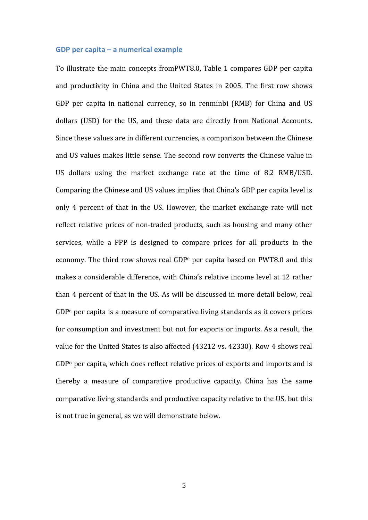### **GDP** per capita – a numerical example

To illustrate the main concepts fromPWT8.0, Table 1 compares GDP per capita and productivity in China and the United States in 2005. The first row shows GDP per capita in national currency, so in renminbi (RMB) for China and US dollars (USD) for the US, and these data are directly from National Accounts. Since these values are in different currencies, a comparison between the Chinese and US values makes little sense. The second row converts the Chinese value in US dollars using the market exchange rate at the time of 8.2 RMB/USD. Comparing the Chinese and US values implies that China's GDP per capita level is only 4 percent of that in the US. However, the market exchange rate will not reflect relative prices of non-traded products, such as housing and many other services, while a PPP is designed to compare prices for all products in the economy. The third row shows real GDP<sup>e</sup> per capita based on PWT8.0 and this makes a considerable difference, with China's relative income level at 12 rather than 4 percent of that in the US. As will be discussed in more detail below, real  $GDP<sup>e</sup>$  per capita is a measure of comparative living standards as it covers prices for consumption and investment but not for exports or imports. As a result, the value for the United States is also affected (43212 vs. 42330). Row 4 shows real  $GDP<sup>o</sup>$  per capita, which does reflect relative prices of exports and imports and is thereby a measure of comparative productive capacity. China has the same comparative living standards and productive capacity relative to the US, but this is not true in general, as we will demonstrate below.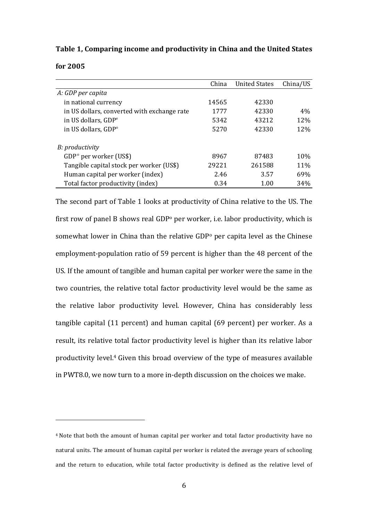**Table 1, Comparing income and productivity in China and the United States** 

| for 2005 |  |  |
|----------|--|--|
|----------|--|--|

|                                             | China | <b>United States</b> | China/US |
|---------------------------------------------|-------|----------------------|----------|
| A: GDP per capita                           |       |                      |          |
| in national currency                        | 14565 | 42330                |          |
| in US dollars, converted with exchange rate | 1777  | 42330                | 4%       |
| in US dollars, GDP <sup>e</sup>             | 5342  | 43212                | 12%      |
| in US dollars, GDP°                         | 5270  | 42330                | 12%      |
| B: productivity                             |       |                      |          |
| GDP <sup>°</sup> per worker (US\$)          | 8967  | 87483                | 10%      |
| Tangible capital stock per worker (US\$)    | 29221 | 261588               | 11%      |
| Human capital per worker (index)            | 2.46  | 3.57                 | 69%      |
| Total factor productivity (index)           | 0.34  | 1.00                 | 34%      |

The second part of Table 1 looks at productivity of China relative to the US. The first row of panel B shows real GDP<sup>o</sup> per worker, i.e. labor productivity, which is somewhat lower in China than the relative GDP<sup>o</sup> per capita level as the Chinese employment-population ratio of 59 percent is higher than the 48 percent of the US. If the amount of tangible and human capital per worker were the same in the two countries, the relative total factor productivity level would be the same as the relative labor productivity level. However, China has considerably less tangible capital  $(11$  percent) and human capital  $(69$  percent) per worker. As a result, its relative total factor productivity level is higher than its relative labor productivity level.<sup>4</sup> Given this broad overview of the type of measures available in PWT8.0, we now turn to a more in-depth discussion on the choices we make.

<sup>&</sup>lt;sup>4</sup> Note that both the amount of human capital per worker and total factor productivity have no natural units. The amount of human capital per worker is related the average vears of schooling and the return to education, while total factor productivity is defined as the relative level of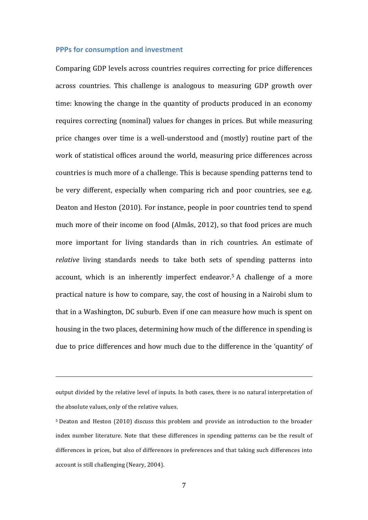## **PPPs for consumption and investment**

Comparing GDP levels across countries requires correcting for price differences across countries. This challenge is analogous to measuring GDP growth over time: knowing the change in the quantity of products produced in an economy requires correcting (nominal) values for changes in prices. But while measuring price changes over time is a well-understood and (mostly) routine part of the work of statistical offices around the world, measuring price differences across countries is much more of a challenge. This is because spending patterns tend to be very different, especially when comparing rich and poor countries, see e.g. Deaton and Heston (2010). For instance, people in poor countries tend to spend much more of their income on food (Almås, 2012), so that food prices are much more important for living standards than in rich countries. An estimate of *relative* living standards needs to take both sets of spending patterns into account, which is an inherently imperfect endeavor.<sup>5</sup> A challenge of a more practical nature is how to compare, say, the cost of housing in a Nairobi slum to that in a Washington, DC suburb. Even if one can measure how much is spent on housing in the two places, determining how much of the difference in spending is due to price differences and how much due to the difference in the 'quantity' of

<u> 1989 - Johann Stoff, deutscher Stoffen und der Stoffen und der Stoffen und der Stoffen und der Stoffen und de</u>

output divided by the relative level of inputs. In both cases, there is no natural interpretation of the absolute values, only of the relative values.

<sup>&</sup>lt;sup>5</sup> Deaton and Heston (2010) discuss this problem and provide an introduction to the broader index number literature. Note that these differences in spending patterns can be the result of differences in prices, but also of differences in preferences and that taking such differences into account is still challenging (Neary, 2004).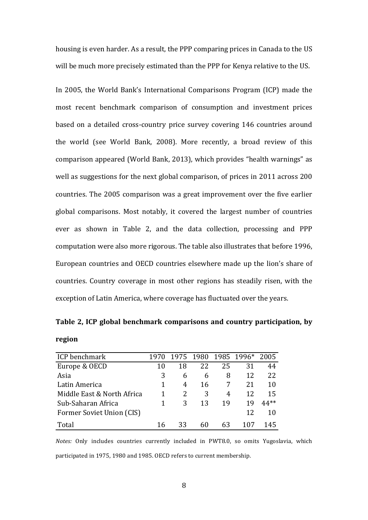housing is even harder. As a result, the PPP comparing prices in Canada to the US will be much more precisely estimated than the PPP for Kenya relative to the US.

In 2005, the World Bank's International Comparisons Program (ICP) made the most recent benchmark comparison of consumption and investment prices based on a detailed cross-country price survey covering 146 countries around the world (see World Bank, 2008). More recently, a broad review of this comparison appeared (World Bank, 2013), which provides "health warnings" as well as suggestions for the next global comparison, of prices in 2011 across 200 countries. The 2005 comparison was a great improvement over the five earlier global comparisons. Most notably, it covered the largest number of countries ever as shown in Table 2, and the data collection, processing and PPP computation were also more rigorous. The table also illustrates that before 1996, European countries and OECD countries elsewhere made up the lion's share of countries. Country coverage in most other regions has steadily risen, with the exception of Latin America, where coverage has fluctuated over the years.

|        | Table 2, ICP global benchmark comparisons and country participation, by |  |  |
|--------|-------------------------------------------------------------------------|--|--|
| region |                                                                         |  |  |

| ICP benchmark              | 1970 | 1975 |    |    | 1980 1985 1996* | 2005   |
|----------------------------|------|------|----|----|-----------------|--------|
| Europe & OECD              | 10   | 18   | 22 | 25 | 31              | 44     |
| Asia                       | 3    | 6    | 6  | 8  | 12              | 22     |
| Latin America              |      | 4    | 16 | 7  | 21              | 10     |
| Middle East & North Africa |      |      | 3  | 4  | 12              | 15     |
| Sub-Saharan Africa         |      | 3    | 13 | 19 | 19              | $44**$ |
| Former Soviet Union (CIS)  |      |      |    |    | 12              | 10     |
| Total                      | 16   | 33   | 60 | 63 | 107             | 14ኣ    |

*Notes:* Only includes countries currently included in PWT8.0, so omits Yugoslavia, which participated in 1975, 1980 and 1985. OECD refers to current membership.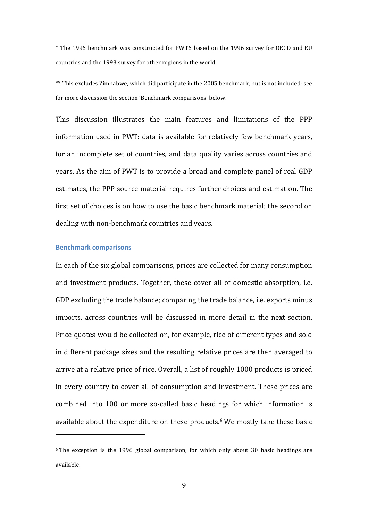\* The 1996 benchmark was constructed for PWT6 based on the 1996 survey for OECD and EU countries and the 1993 survey for other regions in the world.

\*\* This excludes Zimbabwe, which did participate in the 2005 benchmark, but is not included; see for more discussion the section 'Benchmark comparisons' below.

This discussion illustrates the main features and limitations of the PPP information used in PWT: data is available for relatively few benchmark years, for an incomplete set of countries, and data quality varies across countries and years. As the aim of PWT is to provide a broad and complete panel of real GDP estimates, the PPP source material requires further choices and estimation. The first set of choices is on how to use the basic benchmark material; the second on dealing with non-benchmark countries and years.

### **Benchmark comparisons**

 

In each of the six global comparisons, prices are collected for many consumption and investment products. Together, these cover all of domestic absorption, i.e. GDP excluding the trade balance; comparing the trade balance, i.e. exports minus imports, across countries will be discussed in more detail in the next section. Price quotes would be collected on, for example, rice of different types and sold in different package sizes and the resulting relative prices are then averaged to arrive at a relative price of rice. Overall, a list of roughly 1000 products is priced in every country to cover all of consumption and investment. These prices are combined into 100 or more so-called basic headings for which information is available about the expenditure on these products.<sup>6</sup> We mostly take these basic

 $6$  The exception is the 1996 global comparison, for which only about 30 basic headings are available.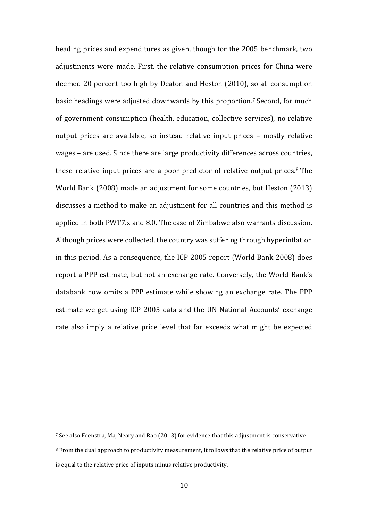heading prices and expenditures as given, though for the 2005 benchmark, two adjustments were made. First, the relative consumption prices for China were deemed 20 percent too high by Deaton and Heston (2010), so all consumption basic headings were adjusted downwards by this proportion.<sup>7</sup> Second, for much of government consumption (health, education, collective services), no relative output prices are available, so instead relative input prices - mostly relative wages – are used. Since there are large productivity differences across countries, these relative input prices are a poor predictor of relative output prices.<sup>8</sup> The World Bank (2008) made an adjustment for some countries, but Heston (2013) discusses a method to make an adjustment for all countries and this method is applied in both PWT7.x and 8.0. The case of Zimbabwe also warrants discussion. Although prices were collected, the country was suffering through hyperinflation in this period. As a consequence, the ICP 2005 report (World Bank 2008) does report a PPP estimate, but not an exchange rate. Conversely, the World Bank's databank now omits a PPP estimate while showing an exchange rate. The PPP estimate we get using ICP 2005 data and the UN National Accounts' exchange rate also imply a relative price level that far exceeds what might be expected

<sup>&</sup>lt;sup>7</sup> See also Feenstra, Ma, Neary and Rao (2013) for evidence that this adjustment is conservative. <sup>8</sup> From the dual approach to productivity measurement, it follows that the relative price of output is equal to the relative price of inputs minus relative productivity.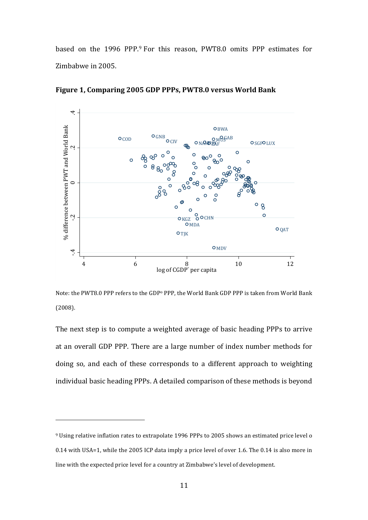based on the 1996 PPP.<sup>9</sup> For this reason, PWT8.0 omits PPP estimates for Zimbabwe in 2005.



Figure 1, Comparing 2005 GDP PPPs, PWT8.0 versus World Bank

Note: the PWT8.0 PPP refers to the GDP<sup>o</sup> PPP, the World Bank GDP PPP is taken from World Bank (2008).

The next step is to compute a weighted average of basic heading PPPs to arrive at an overall GDP PPP. There are a large number of index number methods for doing so, and each of these corresponds to a different approach to weighting individual basic heading PPPs. A detailed comparison of these methods is beyond

<sup>&</sup>lt;sup>9</sup> Using relative inflation rates to extrapolate 1996 PPPs to 2005 shows an estimated price level o  $0.14$  with USA=1, while the 2005 ICP data imply a price level of over 1.6. The  $0.14$  is also more in line with the expected price level for a country at Zimbabwe's level of development.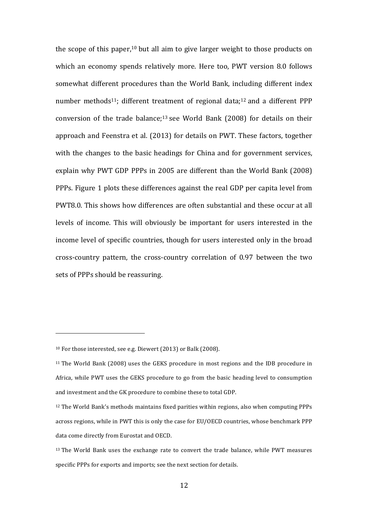the scope of this paper,<sup>10</sup> but all aim to give larger weight to those products on which an economy spends relatively more. Here too, PWT version 8.0 follows somewhat different procedures than the World Bank, including different index number methods<sup>11</sup>; different treatment of regional data;<sup>12</sup> and a different PPP conversion of the trade balance;<sup>13</sup> see World Bank (2008) for details on their approach and Feenstra et al. (2013) for details on PWT. These factors, together with the changes to the basic headings for China and for government services, explain why PWT GDP PPPs in 2005 are different than the World Bank (2008) PPPs. Figure 1 plots these differences against the real GDP per capita level from PWT8.0. This shows how differences are often substantial and these occur at all levels of income. This will obviously be important for users interested in the income level of specific countries, though for users interested only in the broad cross-country pattern, the cross-country correlation of 0.97 between the two sets of PPPs should be reassuring.

 $10$  For those interested, see e.g. Diewert (2013) or Balk (2008).

 $11$  The World Bank (2008) uses the GEKS procedure in most regions and the IDB procedure in Africa, while PWT uses the GEKS procedure to go from the basic heading level to consumption and investment and the GK procedure to combine these to total GDP.

<sup>&</sup>lt;sup>12</sup> The World Bank's methods maintains fixed parities within regions, also when computing PPPs across regions, while in PWT this is only the case for EU/OECD countries, whose benchmark PPP data come directly from Eurostat and OECD.

 $13$  The World Bank uses the exchange rate to convert the trade balance, while PWT measures specific PPPs for exports and imports; see the next section for details.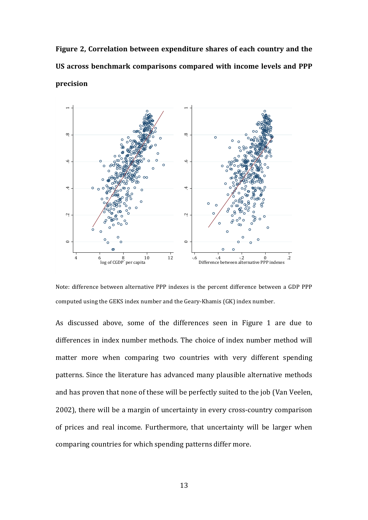Figure 2, Correlation between expenditure shares of each country and the US across benchmark comparisons compared with income levels and PPP **precision**



Note: difference between alternative PPP indexes is the percent difference between a GDP PPP computed using the GEKS index number and the Geary-Khamis (GK) index number.

As discussed above, some of the differences seen in Figure 1 are due to differences in index number methods. The choice of index number method will matter more when comparing two countries with very different spending patterns. Since the literature has advanced many plausible alternative methods and has proven that none of these will be perfectly suited to the job (Van Veelen, 2002), there will be a margin of uncertainty in every cross-country comparison of prices and real income. Furthermore, that uncertainty will be larger when comparing countries for which spending patterns differ more.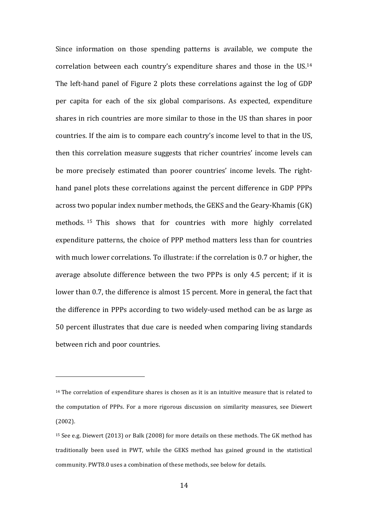Since information on those spending patterns is available, we compute the correlation between each country's expenditure shares and those in the  $US^{14}$ The left-hand panel of Figure 2 plots these correlations against the log of GDP per capita for each of the six global comparisons. As expected, expenditure shares in rich countries are more similar to those in the US than shares in poor countries. If the aim is to compare each country's income level to that in the US, then this correlation measure suggests that richer countries' income levels can be more precisely estimated than poorer countries' income levels. The righthand panel plots these correlations against the percent difference in GDP PPPs across two popular index number methods, the GEKS and the Geary-Khamis (GK) methods. <sup>15</sup> This shows that for countries with more highly correlated expenditure patterns, the choice of PPP method matters less than for countries with much lower correlations. To illustrate: if the correlation is 0.7 or higher, the average absolute difference between the two PPPs is only 4.5 percent; if it is lower than 0.7, the difference is almost 15 percent. More in general, the fact that the difference in PPPs according to two widely-used method can be as large as 50 percent illustrates that due care is needed when comparing living standards between rich and poor countries.

 $14$  The correlation of expenditure shares is chosen as it is an intuitive measure that is related to the computation of PPPs. For a more rigorous discussion on similarity measures, see Diewert (2002).

<sup>&</sup>lt;sup>15</sup> See e.g. Diewert (2013) or Balk (2008) for more details on these methods. The GK method has traditionally been used in PWT, while the GEKS method has gained ground in the statistical community. PWT8.0 uses a combination of these methods, see below for details.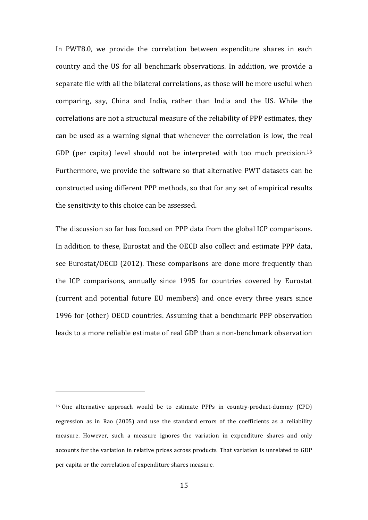In PWT8.0, we provide the correlation between expenditure shares in each country and the US for all benchmark observations. In addition, we provide a separate file with all the bilateral correlations, as those will be more useful when comparing, say, China and India, rather than India and the US. While the correlations are not a structural measure of the reliability of PPP estimates, they can be used as a warning signal that whenever the correlation is low, the real GDP (per capita) level should not be interpreted with too much precision.<sup>16</sup> Furthermore, we provide the software so that alternative PWT datasets can be constructed using different PPP methods, so that for any set of empirical results the sensitivity to this choice can be assessed.

The discussion so far has focused on PPP data from the global ICP comparisons. In addition to these, Eurostat and the OECD also collect and estimate PPP data, see Eurostat/OECD (2012). These comparisons are done more frequently than the ICP comparisons, annually since 1995 for countries covered by Eurostat (current and potential future EU members) and once every three years since 1996 for (other) OECD countries. Assuming that a benchmark PPP observation leads to a more reliable estimate of real GDP than a non-benchmark observation

 $16$  One alternative approach would be to estimate PPPs in country-product-dummy (CPD) regression as in Rao  $(2005)$  and use the standard errors of the coefficients as a reliability measure. However, such a measure ignores the variation in expenditure shares and only accounts for the variation in relative prices across products. That variation is unrelated to GDP per capita or the correlation of expenditure shares measure.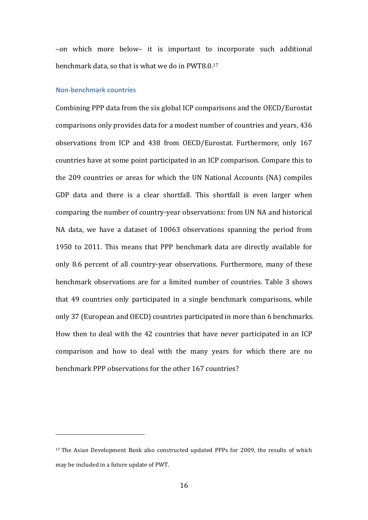–on which more below– it is important to incorporate such additional benchmark data, so that is what we do in PWT8.0. $17$ 

## **Non-benchmark countries**

 

Combining PPP data from the six global ICP comparisons and the OECD/Eurostat comparisons only provides data for a modest number of countries and years, 436 observations from ICP and 438 from OECD/Eurostat. Furthermore, only 167 countries have at some point participated in an ICP comparison. Compare this to the 209 countries or areas for which the UN National Accounts (NA) compiles GDP data and there is a clear shortfall. This shortfall is even larger when comparing the number of country-year observations: from UN NA and historical NA data, we have a dataset of 10063 observations spanning the period from 1950 to 2011. This means that PPP benchmark data are directly available for only 8.6 percent of all country-year observations. Furthermore, many of these benchmark observations are for a limited number of countries. Table 3 shows that 49 countries only participated in a single benchmark comparisons, while only 37 (European and OECD) countries participated in more than 6 benchmarks. How then to deal with the 42 countries that have never participated in an ICP comparison and how to deal with the many vears for which there are no benchmark PPP observations for the other 167 countries?

 $17$  The Asian Development Bank also constructed updated PPPs for 2009, the results of which may be included in a future update of PWT.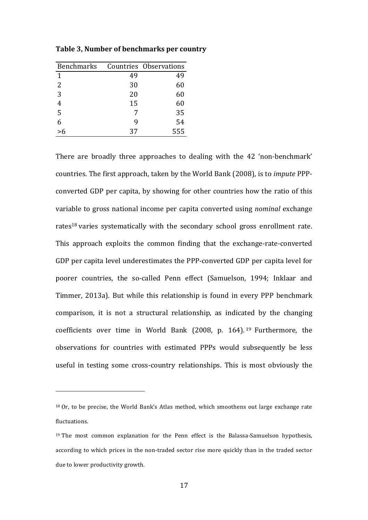| <b>Benchmarks</b> |    | Countries Observations |
|-------------------|----|------------------------|
| 1                 | 49 | 49                     |
| 2                 | 30 | 60                     |
| 3                 | 20 | 60                     |
|                   | 15 | 60                     |
| 5                 |    | 35                     |
| 6                 | q  | 54                     |
| >6                | 37 | 555                    |

 

**Table 3, Number of benchmarks per country** 

There are broadly three approaches to dealing with the 42 'non-benchmark' countries. The first approach, taken by the World Bank (2008), is to *impute* PPPconverted GDP per capita, by showing for other countries how the ratio of this variable to gross national income per capita converted using *nominal* exchange rates<sup>18</sup> varies systematically with the secondary school gross enrollment rate. This approach exploits the common finding that the exchange-rate-converted GDP per capita level underestimates the PPP-converted GDP per capita level for poorer countries, the so-called Penn effect (Samuelson, 1994; Inklaar and Timmer, 2013a). But while this relationship is found in every PPP benchmark comparison, it is not a structural relationship, as indicated by the changing coefficients over time in World Bank  $(2008, p. 164)$ . 19 Furthermore, the observations for countries with estimated PPPs would subsequently be less useful in testing some cross-country relationships. This is most obviously the

 $18$  Or, to be precise, the World Bank's Atlas method, which smoothens out large exchange rate fluctuations.

<sup>&</sup>lt;sup>19</sup> The most common explanation for the Penn effect is the Balassa-Samuelson hypothesis, according to which prices in the non-traded sector rise more quickly than in the traded sector due to lower productivity growth.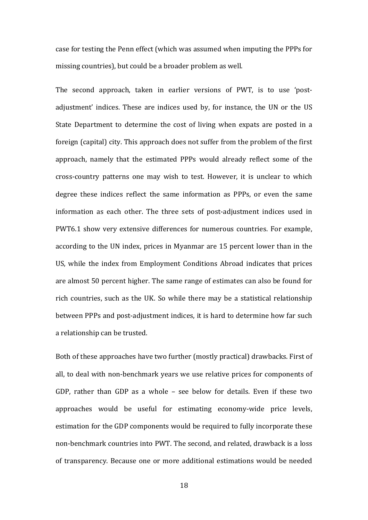case for testing the Penn effect (which was assumed when imputing the PPPs for missing countries), but could be a broader problem as well.

The second approach, taken in earlier versions of PWT, is to use 'postadjustment' indices. These are indices used by, for instance, the UN or the US State Department to determine the cost of living when expats are posted in a foreign (capital) city. This approach does not suffer from the problem of the first approach, namely that the estimated PPPs would already reflect some of the cross-country patterns one may wish to test. However, it is unclear to which degree these indices reflect the same information as PPPs, or even the same information as each other. The three sets of post-adjustment indices used in PWT6.1 show very extensive differences for numerous countries. For example, according to the UN index, prices in Myanmar are 15 percent lower than in the US, while the index from Employment Conditions Abroad indicates that prices are almost 50 percent higher. The same range of estimates can also be found for rich countries, such as the UK. So while there may be a statistical relationship between PPPs and post-adjustment indices, it is hard to determine how far such a relationship can be trusted.

Both of these approaches have two further (mostly practical) drawbacks. First of all, to deal with non-benchmark years we use relative prices for components of GDP, rather than GDP as a whole  $-$  see below for details. Even if these two approaches would be useful for estimating economy-wide price levels, estimation for the GDP components would be required to fully incorporate these non-benchmark countries into PWT. The second, and related, drawback is a loss of transparency. Because one or more additional estimations would be needed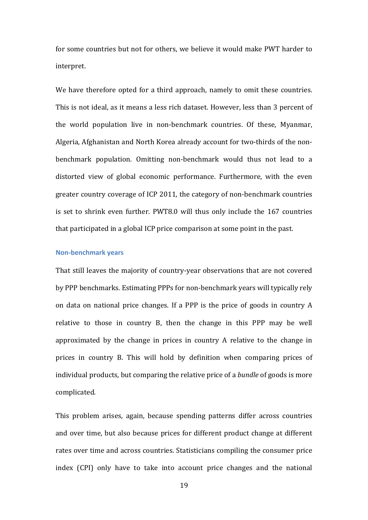for some countries but not for others, we believe it would make PWT harder to interpret.

We have therefore opted for a third approach, namely to omit these countries. This is not ideal, as it means a less rich dataset. However, less than 3 percent of the world population live in non-benchmark countries. Of these, Myanmar, Algeria, Afghanistan and North Korea already account for two-thirds of the nonbenchmark population. Omitting non-benchmark would thus not lead to a distorted view of global economic performance. Furthermore, with the even greater country coverage of ICP 2011, the category of non-benchmark countries is set to shrink even further. PWT8.0 will thus only include the 167 countries that participated in a global ICP price comparison at some point in the past.

### **Non-benchmark years**

That still leaves the majority of country-year observations that are not covered by PPP benchmarks. Estimating PPPs for non-benchmark years will typically rely on data on national price changes. If a PPP is the price of goods in country A relative to those in country  $B$ , then the change in this PPP may be well approximated by the change in prices in country A relative to the change in prices in country B. This will hold by definition when comparing prices of individual products, but comparing the relative price of a *bundle* of goods is more complicated. 

This problem arises, again, because spending patterns differ across countries and over time, but also because prices for different product change at different rates over time and across countries. Statisticians compiling the consumer price index (CPI) only have to take into account price changes and the national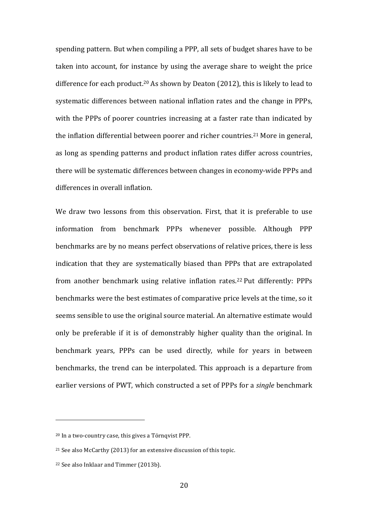spending pattern. But when compiling a PPP, all sets of budget shares have to be taken into account, for instance by using the average share to weight the price difference for each product.<sup>20</sup> As shown by Deaton (2012), this is likely to lead to systematic differences between national inflation rates and the change in PPPs, with the PPPs of poorer countries increasing at a faster rate than indicated by the inflation differential between poorer and richer countries.<sup>21</sup> More in general, as long as spending patterns and product inflation rates differ across countries, there will be systematic differences between changes in economy-wide PPPs and differences in overall inflation.

We draw two lessons from this observation. First, that it is preferable to use information from benchmark PPPs whenever possible. Although PPP benchmarks are by no means perfect observations of relative prices, there is less indication that they are systematically biased than PPPs that are extrapolated from another benchmark using relative inflation rates.<sup>22</sup> Put differently: PPPs benchmarks were the best estimates of comparative price levels at the time, so it seems sensible to use the original source material. An alternative estimate would only be preferable if it is of demonstrably higher quality than the original. In benchmark years, PPPs can be used directly, while for years in between benchmarks, the trend can be interpolated. This approach is a departure from earlier versions of PWT, which constructed a set of PPPs for a *single* benchmark

<sup>&</sup>lt;sup>20</sup> In a two-country case, this gives a Törnqvist PPP.

<sup>&</sup>lt;sup>21</sup> See also McCarthy (2013) for an extensive discussion of this topic.

<sup>&</sup>lt;sup>22</sup> See also Inklaar and Timmer (2013b).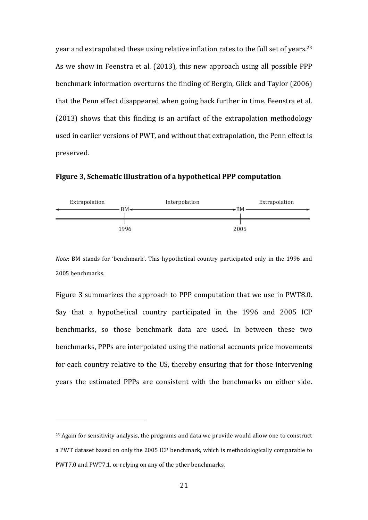year and extrapolated these using relative inflation rates to the full set of years.<sup>23</sup> As we show in Feenstra et al. (2013), this new approach using all possible PPP benchmark information overturns the finding of Bergin, Glick and Taylor (2006) that the Penn effect disappeared when going back further in time. Feenstra et al. (2013) shows that this finding is an artifact of the extrapolation methodology used in earlier versions of PWT, and without that extrapolation, the Penn effect is preserved.

**Figure 3, Schematic illustration of a hypothetical PPP computation** 



*Note*: BM stands for 'benchmark'. This hypothetical country participated only in the 1996 and 2005 benchmarks.

Figure 3 summarizes the approach to PPP computation that we use in PWT8.0. Say that a hypothetical country participated in the 1996 and 2005 ICP benchmarks, so those benchmark data are used. In between these two benchmarks, PPPs are interpolated using the national accounts price movements for each country relative to the US, thereby ensuring that for those intervening years the estimated PPPs are consistent with the benchmarks on either side.

<sup>&</sup>lt;sup>23</sup> Again for sensitivity analysis, the programs and data we provide would allow one to construct a PWT dataset based on only the 2005 ICP benchmark, which is methodologically comparable to PWT7.0 and PWT7.1, or relying on any of the other benchmarks.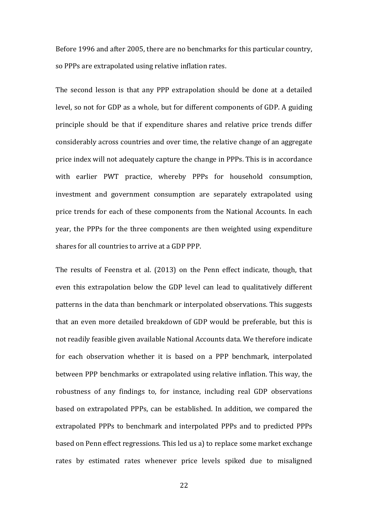Before 1996 and after 2005, there are no benchmarks for this particular country, so PPPs are extrapolated using relative inflation rates.

The second lesson is that any PPP extrapolation should be done at a detailed level, so not for GDP as a whole, but for different components of GDP. A guiding principle should be that if expenditure shares and relative price trends differ considerably across countries and over time, the relative change of an aggregate price index will not adequately capture the change in PPPs. This is in accordance with earlier PWT practice, whereby PPPs for household consumption, investment and government consumption are separately extrapolated using price trends for each of these components from the National Accounts. In each year, the PPPs for the three components are then weighted using expenditure shares for all countries to arrive at a GDP PPP.

The results of Feenstra et al. (2013) on the Penn effect indicate, though, that even this extrapolation below the GDP level can lead to qualitatively different patterns in the data than benchmark or interpolated observations. This suggests that an even more detailed breakdown of GDP would be preferable, but this is not readily feasible given available National Accounts data. We therefore indicate for each observation whether it is based on a PPP benchmark, interpolated between PPP benchmarks or extrapolated using relative inflation. This way, the robustness of any findings to, for instance, including real GDP observations based on extrapolated PPPs, can be established. In addition, we compared the extrapolated PPPs to benchmark and interpolated PPPs and to predicted PPPs based on Penn effect regressions. This led us a) to replace some market exchange rates by estimated rates whenever price levels spiked due to misaligned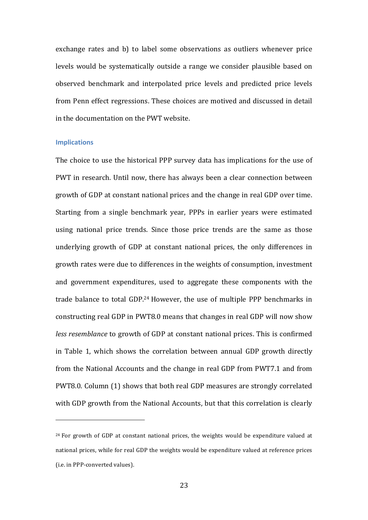exchange rates and b) to label some observations as outliers whenever price levels would be systematically outside a range we consider plausible based on observed benchmark and interpolated price levels and predicted price levels from Penn effect regressions. These choices are motived and discussed in detail in the documentation on the PWT website.

#### **Implications**

 

The choice to use the historical PPP survey data has implications for the use of PWT in research. Until now, there has always been a clear connection between growth of GDP at constant national prices and the change in real GDP over time. Starting from a single benchmark year, PPPs in earlier years were estimated using national price trends. Since those price trends are the same as those underlying growth of GDP at constant national prices, the only differences in growth rates were due to differences in the weights of consumption, investment and government expenditures, used to aggregate these components with the trade balance to total GDP.<sup>24</sup> However, the use of multiple PPP benchmarks in constructing real GDP in PWT8.0 means that changes in real GDP will now show *less resemblance* to growth of GDP at constant national prices. This is confirmed in Table 1, which shows the correlation between annual GDP growth directly from the National Accounts and the change in real GDP from PWT7.1 and from PWT8.0. Column (1) shows that both real GDP measures are strongly correlated with GDP growth from the National Accounts, but that this correlation is clearly

 $24$  For growth of GDP at constant national prices, the weights would be expenditure valued at national prices, while for real GDP the weights would be expenditure valued at reference prices (*i.e.* in PPP-converted values).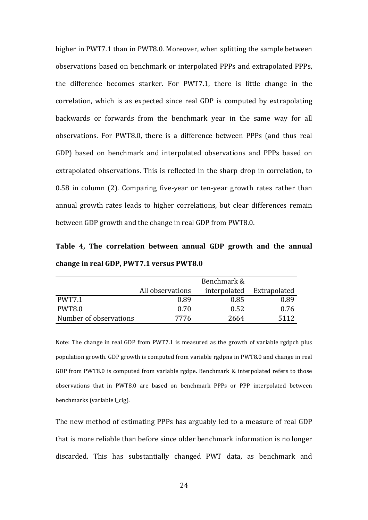higher in PWT7.1 than in PWT8.0. Moreover, when splitting the sample between observations based on benchmark or interpolated PPPs and extrapolated PPPs, the difference becomes starker. For PWT7.1, there is little change in the correlation, which is as expected since real GDP is computed by extrapolating backwards or forwards from the benchmark year in the same way for all observations. For PWT8.0, there is a difference between PPPs (and thus real GDP) based on benchmark and interpolated observations and PPPs based on extrapolated observations. This is reflected in the sharp drop in correlation, to  $0.58$  in column  $(2)$ . Comparing five-year or ten-year growth rates rather than annual growth rates leads to higher correlations, but clear differences remain between GDP growth and the change in real GDP from PWT8.0.

Table 4, The correlation between annual GDP growth and the annual change in real GDP, PWT7.1 versus PWT8.0

|                        |                  | Benchmark &  |              |
|------------------------|------------------|--------------|--------------|
|                        | All observations | interpolated | Extrapolated |
| <b>PWT7.1</b>          | 0.89             | 0.85         | 0.89         |
| <b>PWT8.0</b>          | 0.70             | 0.52         | 0.76         |
| Number of observations | 7776             | 2664         | 5112         |

Note: The change in real GDP from PWT7.1 is measured as the growth of variable rgdpch plus population growth. GDP growth is computed from variable rgdpna in PWT8.0 and change in real GDP from PWT8.0 is computed from variable rgdpe. Benchmark  $&$  interpolated refers to those observations that in PWT8.0 are based on benchmark PPPs or PPP interpolated between benchmarks (variable i\_cig).

The new method of estimating PPPs has arguably led to a measure of real GDP that is more reliable than before since older benchmark information is no longer discarded. This has substantially changed PWT data, as benchmark and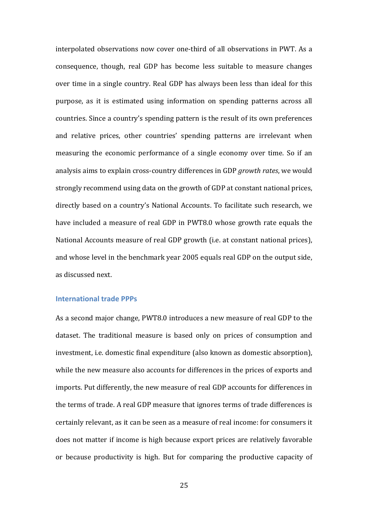interpolated observations now cover one-third of all observations in PWT. As a consequence, though, real GDP has become less suitable to measure changes over time in a single country. Real GDP has always been less than ideal for this purpose, as it is estimated using information on spending patterns across all countries. Since a country's spending pattern is the result of its own preferences and relative prices, other countries' spending patterns are irrelevant when measuring the economic performance of a single economy over time. So if an analysis aims to explain cross-country differences in GDP *growth rates*, we would strongly recommend using data on the growth of GDP at constant national prices, directly based on a country's National Accounts. To facilitate such research, we have included a measure of real GDP in PWT8.0 whose growth rate equals the National Accounts measure of real GDP growth (i.e. at constant national prices), and whose level in the benchmark year 2005 equals real GDP on the output side, as discussed next.

## **International trade PPPs**

As a second major change, PWT8.0 introduces a new measure of real GDP to the dataset. The traditional measure is based only on prices of consumption and investment, i.e. domestic final expenditure (also known as domestic absorption), while the new measure also accounts for differences in the prices of exports and imports. Put differently, the new measure of real GDP accounts for differences in the terms of trade. A real GDP measure that ignores terms of trade differences is certainly relevant, as it can be seen as a measure of real income: for consumers it does not matter if income is high because export prices are relatively favorable or because productivity is high. But for comparing the productive capacity of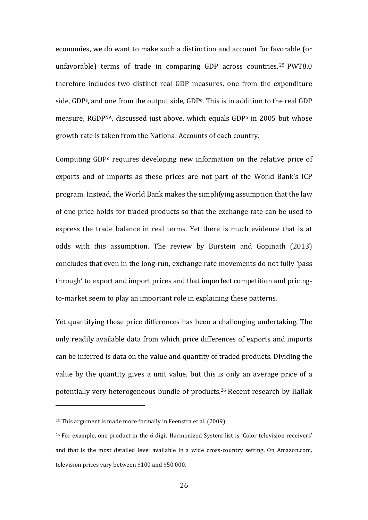economies, we do want to make such a distinction and account for favorable (or unfavorable) terms of trade in comparing GDP across countries.<sup>25</sup> PWT8.0 therefore includes two distinct real GDP measures, one from the expenditure side, GDP<sup>e</sup>, and one from the output side, GDP<sup>o</sup>. This is in addition to the real GDP measure, RGDPNA, discussed just above, which equals  $GDP<sup>o</sup>$  in 2005 but whose growth rate is taken from the National Accounts of each country.

Computing  $GDP<sup>o</sup>$  requires developing new information on the relative price of exports and of imports as these prices are not part of the World Bank's ICP program. Instead, the World Bank makes the simplifying assumption that the law of one price holds for traded products so that the exchange rate can be used to express the trade balance in real terms. Yet there is much evidence that is at odds with this assumption. The review by Burstein and Gopinath (2013) concludes that even in the long-run, exchange rate movements do not fully 'pass through' to export and import prices and that imperfect competition and pricingto-market seem to play an important role in explaining these patterns.

Yet quantifying these price differences has been a challenging undertaking. The only readily available data from which price differences of exports and imports can be inferred is data on the value and quantity of traded products. Dividing the value by the quantity gives a unit value, but this is only an average price of a potentially very heterogeneous bundle of products.<sup>26</sup> Recent research by Hallak

<sup>&</sup>lt;sup>25</sup> This argument is made more formally in Feenstra et al. (2009).

<sup>&</sup>lt;sup>26</sup> For example, one product in the 6-digit Harmonized System list is 'Color television receivers' and that is the most detailed level available in a wide cross-country setting. On Amazon.com, television prices vary between \$100 and \$50 000.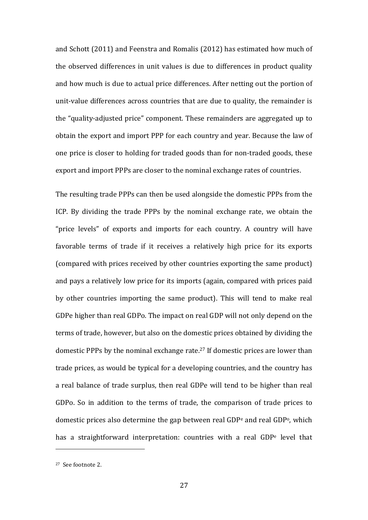and Schott (2011) and Feenstra and Romalis (2012) has estimated how much of the observed differences in unit values is due to differences in product quality and how much is due to actual price differences. After netting out the portion of unit-value differences across countries that are due to quality, the remainder is the "quality-adjusted price" component. These remainders are aggregated up to obtain the export and import PPP for each country and year. Because the law of one price is closer to holding for traded goods than for non-traded goods, these export and import PPPs are closer to the nominal exchange rates of countries.

The resulting trade PPPs can then be used alongside the domestic PPPs from the ICP. By dividing the trade PPPs by the nominal exchange rate, we obtain the "price levels" of exports and imports for each country. A country will have favorable terms of trade if it receives a relatively high price for its exports (compared with prices received by other countries exporting the same product) and pays a relatively low price for its imports (again, compared with prices paid by other countries importing the same product). This will tend to make real GDPe higher than real GDPo. The impact on real GDP will not only depend on the terms of trade, however, but also on the domestic prices obtained by dividing the domestic PPPs by the nominal exchange rate.<sup>27</sup> If domestic prices are lower than trade prices, as would be typical for a developing countries, and the country has a real balance of trade surplus, then real GDPe will tend to be higher than real GDPo. So in addition to the terms of trade, the comparison of trade prices to domestic prices also determine the gap between real GDP<sup>e</sup> and real GDP<sup>o</sup>, which has a straightforward interpretation: countries with a real GDP<sup>e</sup> level that

<sup>&</sup>lt;sup>27</sup> See footnote 2.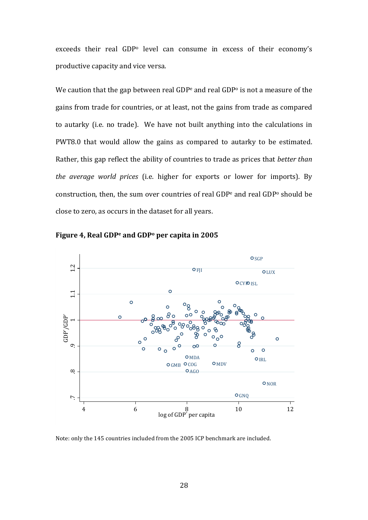exceeds their real GDP<sup>o</sup> level can consume in excess of their economy's productive capacity and vice versa.

We caution that the gap between real GDP<sup>e</sup> and real GDP<sup>o</sup> is not a measure of the gains from trade for countries, or at least, not the gains from trade as compared to autarky (i.e. no trade). We have not built anything into the calculations in PWT8.0 that would allow the gains as compared to autarky to be estimated. Rather, this gap reflect the ability of countries to trade as prices that *better than the average world prices* (i.e. higher for exports or lower for imports). By construction, then, the sum over countries of real GDP<sup>e</sup> and real GDP<sup>o</sup> should be close to zero, as occurs in the dataset for all years.





Note: only the 145 countries included from the 2005 ICP benchmark are included.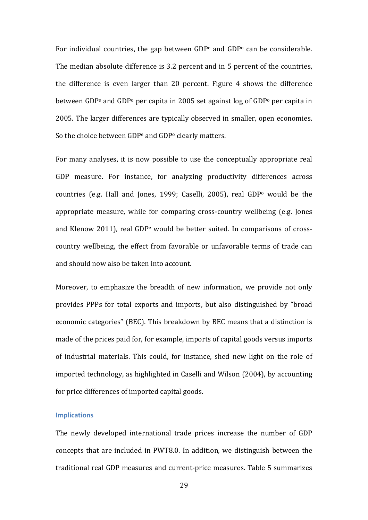For individual countries, the gap between  $GDP<sup>e</sup>$  and  $GDP<sup>o</sup>$  can be considerable. The median absolute difference is 3.2 percent and in 5 percent of the countries, the difference is even larger than  $20$  percent. Figure 4 shows the difference between GDP<sup>e</sup> and GDP<sup>o</sup> per capita in 2005 set against log of GDP<sup>o</sup> per capita in 2005. The larger differences are typically observed in smaller, open economies. So the choice between  $GDP<sup>e</sup>$  and  $GDP<sup>o</sup>$  clearly matters.

For many analyses, it is now possible to use the conceptually appropriate real GDP measure. For instance, for analyzing productivity differences across countries (e.g. Hall and Jones, 1999; Caselli, 2005), real GDP<sup>o</sup> would be the appropriate measure, while for comparing cross-country wellbeing (e.g. Jones and Klenow 2011), real GDP<sup>e</sup> would be better suited. In comparisons of crosscountry wellbeing, the effect from favorable or unfavorable terms of trade can and should now also be taken into account.

Moreover, to emphasize the breadth of new information, we provide not only provides PPPs for total exports and imports, but also distinguished by "broad economic categories" (BEC). This breakdown by BEC means that a distinction is made of the prices paid for, for example, imports of capital goods versus imports of industrial materials. This could, for instance, shed new light on the role of imported technology, as highlighted in Caselli and Wilson (2004), by accounting for price differences of imported capital goods.

## **Implications**

The newly developed international trade prices increase the number of GDP concepts that are included in PWT8.0. In addition, we distinguish between the traditional real GDP measures and current-price measures. Table 5 summarizes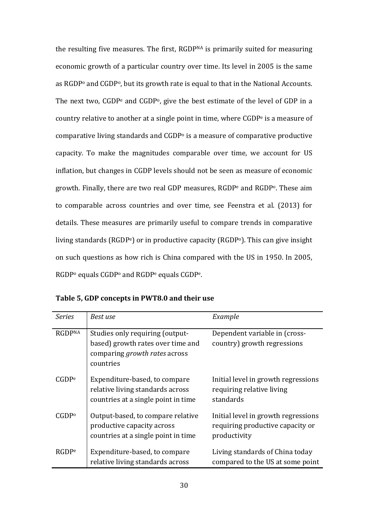the resulting five measures. The first, RGDPNA is primarily suited for measuring economic growth of a particular country over time. Its level in 2005 is the same as RGDP<sup>o</sup> and CGDP<sup>o</sup>, but its growth rate is equal to that in the National Accounts. The next two,  $CGDP<sup>e</sup>$  and  $CGDP<sup>o</sup>$ , give the best estimate of the level of GDP in a country relative to another at a single point in time, where  $CGDP<sup>e</sup>$  is a measure of comparative living standards and  $CGDP<sub>o</sub>$  is a measure of comparative productive capacity. To make the magnitudes comparable over time, we account for US inflation, but changes in CGDP levels should not be seen as measure of economic growth. Finally, there are two real GDP measures, RGDP<sup>e</sup> and RGDP<sup>o</sup>. These aim to comparable across countries and over time, see Feenstra et al. (2013) for details. These measures are primarily useful to compare trends in comparative living standards  $(RGDP<sup>e</sup>)$  or in productive capacity  $(RGDP<sup>o</sup>)$ . This can give insight on such questions as how rich is China compared with the US in 1950. In 2005, RGDP<sup>o</sup> equals CGDP<sup>o</sup> and RGDP<sup>e</sup> equals CGDP<sup>e</sup>.

| <b>Series</b>     | Best use                                                                                                           | Example                                                                                 |
|-------------------|--------------------------------------------------------------------------------------------------------------------|-----------------------------------------------------------------------------------------|
| <b>RGDPNA</b>     | Studies only requiring (output-<br>based) growth rates over time and<br>comparing growth rates across<br>countries | Dependent variable in (cross-<br>country) growth regressions                            |
| CGDP <sup>e</sup> | Expenditure-based, to compare<br>relative living standards across<br>countries at a single point in time           | Initial level in growth regressions<br>requiring relative living<br>standards           |
| $CGDP^{\circ}$    | Output-based, to compare relative<br>productive capacity across<br>countries at a single point in time             | Initial level in growth regressions<br>requiring productive capacity or<br>productivity |
| RGDP <sub>e</sub> | Expenditure-based, to compare<br>relative living standards across                                                  | Living standards of China today<br>compared to the US at some point                     |

Table 5, GDP concepts in PWT8.0 and their use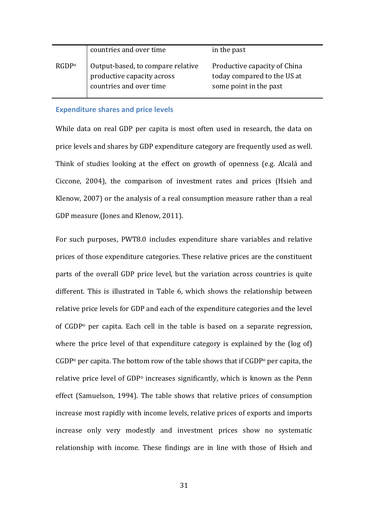|                   | countries and over time                                                                    | in the past                                                                           |
|-------------------|--------------------------------------------------------------------------------------------|---------------------------------------------------------------------------------------|
| RGDP <sup>o</sup> | Output-based, to compare relative<br>productive capacity across<br>countries and over time | Productive capacity of China<br>today compared to the US at<br>some point in the past |

## **Expenditure shares and price levels**

While data on real GDP per capita is most often used in research, the data on price levels and shares by GDP expenditure category are frequently used as well. Think of studies looking at the effect on growth of openness (e.g. Alcalá and Ciccone, 2004), the comparison of investment rates and prices (Hsieh and Klenow, 2007) or the analysis of a real consumption measure rather than a real GDP measure (Jones and Klenow, 2011).

For such purposes, PWT8.0 includes expenditure share variables and relative prices of those expenditure categories. These relative prices are the constituent parts of the overall GDP price level, but the variation across countries is quite different. This is illustrated in Table 6, which shows the relationship between relative price levels for GDP and each of the expenditure categories and the level of  $CGDP<sup>o</sup>$  per capita. Each cell in the table is based on a separate regression, where the price level of that expenditure category is explained by the  $\log$  of)  $CGDP<sup>o</sup>$  per capita. The bottom row of the table shows that if  $CGDP<sup>o</sup>$  per capita, the relative price level of  $GDP<sup>o</sup>$  increases significantly, which is known as the Penn effect (Samuelson, 1994). The table shows that relative prices of consumption increase most rapidly with income levels, relative prices of exports and imports increase only very modestly and investment prices show no systematic relationship with income. These findings are in line with those of Hsieh and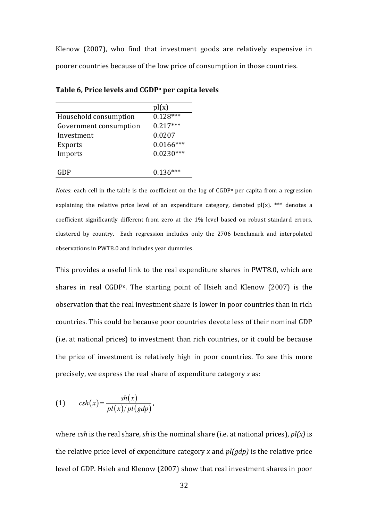Klenow  $(2007)$ , who find that investment goods are relatively expensive in poorer countries because of the low price of consumption in those countries.

|                        | pl(x)       |
|------------------------|-------------|
| Household consumption  | $0.128***$  |
| Government consumption | $0.217***$  |
| Investment             | 0.0207      |
| <b>Exports</b>         | $0.0166***$ |
| Imports                | $0.0230***$ |
|                        |             |
|                        | $0.136***$  |

Table 6, Price levels and CGDP<sup>°</sup> per capita levels

*Notes*: each cell in the table is the coefficient on the  $log$  of CGDP<sup>o</sup> per capita from a regression explaining the relative price level of an expenditure category, denoted  $p(x)$ . \*\*\* denotes a coefficient significantly different from zero at the 1% level based on robust standard errors, clustered by country. Each regression includes only the 2706 benchmark and interpolated observations in PWT8.0 and includes year dummies.

This provides a useful link to the real expenditure shares in PWT8.0, which are shares in real CGDP<sup>o</sup>. The starting point of Hsieh and Klenow (2007) is the observation that the real investment share is lower in poor countries than in rich countries. This could be because poor countries devote less of their nominal GDP (i.e. at national prices) to investment than rich countries, or it could be because the price of investment is relatively high in poor countries. To see this more precisely, we express the real share of expenditure category *x* as:

$$
(1) \qquad \operatorname{csh}(x) = \frac{\operatorname{sh}(x)}{pl(x)/pl(\operatorname{gdp})},
$$

where *csh* is the real share, *sh* is the nominal share (i.e. at national prices),  $pI(x)$  is the relative price level of expenditure category *x* and  $p/(qdp)$  is the relative price level of GDP. Hsieh and Klenow (2007) show that real investment shares in poor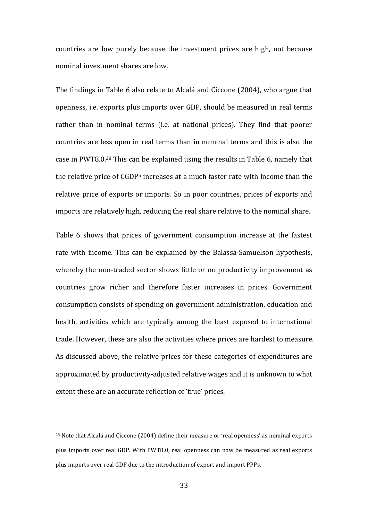countries are low purely because the investment prices are high, not because nominal investment shares are low.

The findings in Table 6 also relate to Alcalá and Ciccone (2004), who argue that openness, i.e. exports plus imports over GDP, should be measured in real terms rather than in nominal terms (i.e. at national prices). They find that poorer countries are less open in real terms than in nominal terms and this is also the case in PWT8.0.<sup>28</sup> This can be explained using the results in Table 6, namely that the relative price of  $GDP<sup>o</sup>$  increases at a much faster rate with income than the relative price of exports or imports. So in poor countries, prices of exports and imports are relatively high, reducing the real share relative to the nominal share.

Table 6 shows that prices of government consumption increase at the fastest rate with income. This can be explained by the Balassa-Samuelson hypothesis, whereby the non-traded sector shows little or no productivity improvement as countries grow richer and therefore faster increases in prices. Government consumption consists of spending on government administration, education and health, activities which are typically among the least exposed to international trade. However, these are also the activities where prices are hardest to measure. As discussed above, the relative prices for these categories of expenditures are approximated by productivity-adjusted relative wages and it is unknown to what extent these are an accurate reflection of 'true' prices.

<sup>&</sup>lt;sup>28</sup> Note that Alcalá and Ciccone (2004) define their measure or 'real openness' as nominal exports plus imports over real GDP. With PWT8.0, real openness can now be measured as real exports plus imports over real GDP due to the introduction of export and import PPPs.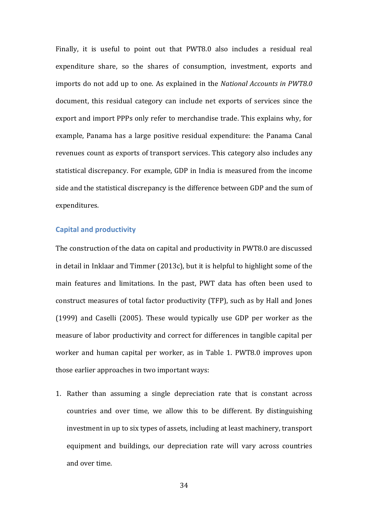Finally, it is useful to point out that PWT8.0 also includes a residual real expenditure share, so the shares of consumption, investment, exports and imports do not add up to one. As explained in the *National Accounts in PWT8.0* document, this residual category can include net exports of services since the export and import PPPs only refer to merchandise trade. This explains why, for example, Panama has a large positive residual expenditure: the Panama Canal revenues count as exports of transport services. This category also includes any statistical discrepancy. For example, GDP in India is measured from the income side and the statistical discrepancy is the difference between GDP and the sum of expenditures.

# **Capital and productivity**

The construction of the data on capital and productivity in PWT8.0 are discussed in detail in Inklaar and Timmer  $(2013c)$ , but it is helpful to highlight some of the main features and limitations. In the past, PWT data has often been used to construct measures of total factor productivity (TFP), such as by Hall and Jones (1999) and Caselli (2005). These would typically use GDP per worker as the measure of labor productivity and correct for differences in tangible capital per worker and human capital per worker, as in Table 1. PWT8.0 improves upon those earlier approaches in two important ways:

1. Rather than assuming a single depreciation rate that is constant across countries and over time, we allow this to be different. By distinguishing investment in up to six types of assets, including at least machinery, transport equipment and buildings, our depreciation rate will vary across countries and over time.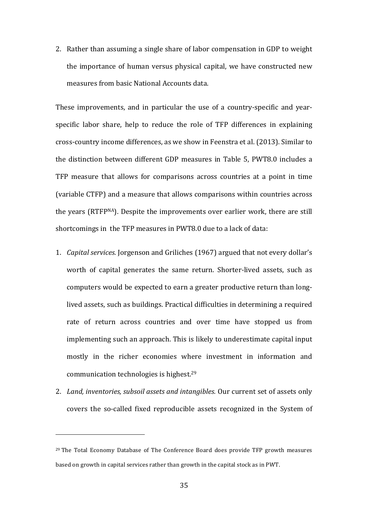2. Rather than assuming a single share of labor compensation in GDP to weight the importance of human versus physical capital, we have constructed new measures from basic National Accounts data.

These improvements, and in particular the use of a country-specific and yearspecific labor share, help to reduce the role of TFP differences in explaining cross-country income differences, as we show in Feenstra et al. (2013). Similar to the distinction between different GDP measures in Table 5, PWT8.0 includes a TFP measure that allows for comparisons across countries at a point in time (variable CTFP) and a measure that allows comparisons within countries across the years (RTFPNA). Despite the improvements over earlier work, there are still shortcomings in the TFP measures in PWT8.0 due to a lack of data:

- 1. *Capital services.* Jorgenson and Griliches (1967) argued that not every dollar's worth of capital generates the same return. Shorter-lived assets, such as computers would be expected to earn a greater productive return than longlived assets, such as buildings. Practical difficulties in determining a required rate of return across countries and over time have stopped us from implementing such an approach. This is likely to underestimate capital input mostly in the richer economies where investment in information and communication technologies is highest. $29$
- 2. Land, inventories, subsoil assets and intangibles. Our current set of assets only covers the so-called fixed reproducible assets recognized in the System of

 $29$  The Total Economy Database of The Conference Board does provide TFP growth measures based on growth in capital services rather than growth in the capital stock as in PWT.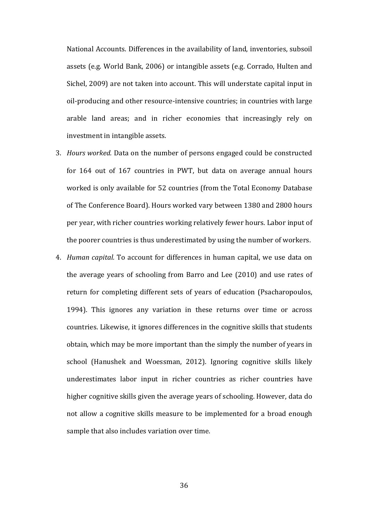National Accounts. Differences in the availability of land, inventories, subsoil assets (e.g. World Bank, 2006) or intangible assets (e.g. Corrado, Hulten and Sichel, 2009) are not taken into account. This will understate capital input in oil-producing and other resource-intensive countries; in countries with large arable land areas; and in richer economies that increasingly rely on investment in intangible assets.

- 3. *Hours worked.* Data on the number of persons engaged could be constructed for  $164$  out of  $167$  countries in PWT, but data on average annual hours worked is only available for 52 countries (from the Total Economy Database of The Conference Board). Hours worked vary between 1380 and 2800 hours per year, with richer countries working relatively fewer hours. Labor input of the poorer countries is thus underestimated by using the number of workers.
- 4. *Human capital.* To account for differences in human capital, we use data on the average vears of schooling from Barro and Lee  $(2010)$  and use rates of return for completing different sets of years of education (Psacharopoulos, 1994). This ignores any variation in these returns over time or across countries. Likewise, it ignores differences in the cognitive skills that students obtain, which may be more important than the simply the number of years in school (Hanushek and Woessman, 2012). Ignoring cognitive skills likely underestimates labor input in richer countries as richer countries have higher cognitive skills given the average years of schooling. However, data do not allow a cognitive skills measure to be implemented for a broad enough sample that also includes variation over time.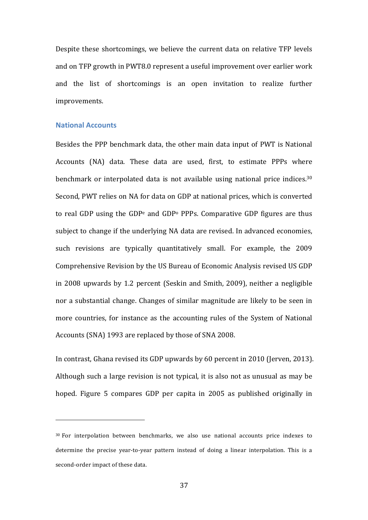Despite these shortcomings, we believe the current data on relative TFP levels and on TFP growth in PWT8.0 represent a useful improvement over earlier work and the list of shortcomings is an open invitation to realize further improvements.

## **National Accounts**

 

Besides the PPP benchmark data, the other main data input of PWT is National Accounts (NA) data. These data are used, first, to estimate PPPs where benchmark or interpolated data is not available using national price indices.<sup>30</sup> Second, PWT relies on NA for data on GDP at national prices, which is converted to real GDP using the GDP<sup>e</sup> and GDP<sup>o</sup> PPPs. Comparative GDP figures are thus subject to change if the underlying NA data are revised. In advanced economies, such revisions are typically quantitatively small. For example, the 2009 Comprehensive Revision by the US Bureau of Economic Analysis revised US GDP in 2008 upwards by 1.2 percent (Seskin and Smith, 2009), neither a negligible nor a substantial change. Changes of similar magnitude are likely to be seen in more countries, for instance as the accounting rules of the System of National Accounts (SNA) 1993 are replaced by those of SNA 2008.

In contrast, Ghana revised its GDP upwards by 60 percent in 2010 (Jerven, 2013). Although such a large revision is not typical, it is also not as unusual as may be hoped. Figure 5 compares GDP per capita in 2005 as published originally in

<sup>&</sup>lt;sup>30</sup> For interpolation between benchmarks, we also use national accounts price indexes to determine the precise year-to-year pattern instead of doing a linear interpolation. This is a second-order impact of these data.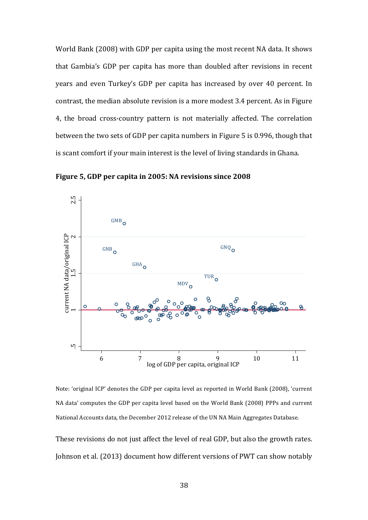World Bank (2008) with GDP per capita using the most recent NA data. It shows that Gambia's GDP per capita has more than doubled after revisions in recent years and even Turkey's GDP per capita has increased by over 40 percent. In contrast, the median absolute revision is a more modest 3.4 percent. As in Figure 4, the broad cross-country pattern is not materially affected. The correlation between the two sets of GDP per capita numbers in Figure 5 is 0.996, though that is scant comfort if your main interest is the level of living standards in Ghana.

**Figure 5, GDP per capita in 2005: NA revisions since 2008** 



Note: 'original ICP' denotes the GDP per capita level as reported in World Bank (2008), 'current NA data' computes the GDP per capita level based on the World Bank (2008) PPPs and current National Accounts data, the December 2012 release of the UN NA Main Aggregates Database.

These revisions do not just affect the level of real GDP, but also the growth rates. Johnson et al. (2013) document how different versions of PWT can show notably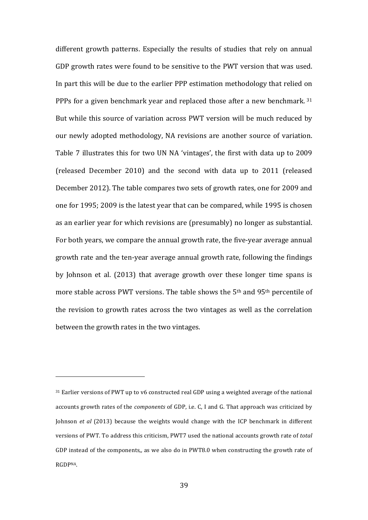different growth patterns. Especially the results of studies that rely on annual GDP growth rates were found to be sensitive to the PWT version that was used. In part this will be due to the earlier PPP estimation methodology that relied on PPPs for a given benchmark year and replaced those after a new benchmark.  $31$ But while this source of variation across PWT version will be much reduced by our newly adopted methodology, NA revisions are another source of variation. Table 7 illustrates this for two UN NA 'vintages', the first with data up to 2009 (released December 2010) and the second with data up to 2011 (released December 2012). The table compares two sets of growth rates, one for 2009 and one for 1995; 2009 is the latest year that can be compared, while 1995 is chosen as an earlier year for which revisions are (presumably) no longer as substantial. For both years, we compare the annual growth rate, the five-year average annual growth rate and the ten-year average annual growth rate, following the findings by Johnson et al. (2013) that average growth over these longer time spans is more stable across PWT versions. The table shows the  $5<sup>th</sup>$  and  $95<sup>th</sup>$  percentile of the revision to growth rates across the two vintages as well as the correlation between the growth rates in the two vintages.

 $31$  Earlier versions of PWT up to v6 constructed real GDP using a weighted average of the national accounts growth rates of the *components* of GDP, i.e. C, I and G. That approach was criticized by Johnson *et al* (2013) because the weights would change with the ICP benchmark in different versions of PWT. To address this criticism, PWT7 used the national accounts growth rate of *total* GDP instead of the components,, as we also do in PWT8.0 when constructing the growth rate of **RGDPNA**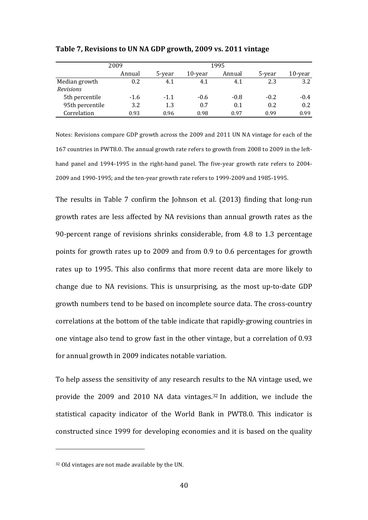|                  | 2009   |        |         | 1995   |        |         |
|------------------|--------|--------|---------|--------|--------|---------|
|                  | Annual | 5-year | 10-year | Annual | 5-year | 10-year |
| Median growth    | 0.2    | 4.1    | 4.1     | 4.1    | 2.3    | 3.2     |
| <b>Revisions</b> |        |        |         |        |        |         |
| 5th percentile   | $-1.6$ | $-1.1$ | $-0.6$  | $-0.8$ | $-0.2$ | $-0.4$  |
| 95th percentile  | 3.2    | 1.3    | 0.7     | 0.1    | 0.2    | 0.2     |
| Correlation      | 0.93   | 0.96   | 0.98    | 0.97   | 0.99   | 0.99    |

Table 7, Revisions to UN NA GDP growth, 2009 vs. 2011 vintage

Notes: Revisions compare GDP growth across the 2009 and 2011 UN NA vintage for each of the 167 countries in PWT8.0. The annual growth rate refers to growth from 2008 to 2009 in the lefthand panel and 1994-1995 in the right-hand panel. The five-year growth rate refers to 2004-2009 and 1990-1995; and the ten-year growth rate refers to 1999-2009 and 1985-1995.

The results in Table 7 confirm the Johnson et al.  $(2013)$  finding that long-run growth rates are less affected by NA revisions than annual growth rates as the 90-percent range of revisions shrinks considerable, from  $4.8$  to  $1.3$  percentage points for growth rates up to 2009 and from 0.9 to 0.6 percentages for growth rates up to 1995. This also confirms that more recent data are more likely to change due to NA revisions. This is unsurprising, as the most up-to-date GDP growth numbers tend to be based on incomplete source data. The cross-country correlations at the bottom of the table indicate that rapidly-growing countries in one vintage also tend to grow fast in the other vintage, but a correlation of 0.93 for annual growth in 2009 indicates notable variation.

To help assess the sensitivity of any research results to the NA vintage used, we provide the 2009 and 2010 NA data vintages. $32$  In addition, we include the statistical capacity indicator of the World Bank in PWT8.0. This indicator is constructed since 1999 for developing economies and it is based on the quality

 $32$  Old vintages are not made available by the UN.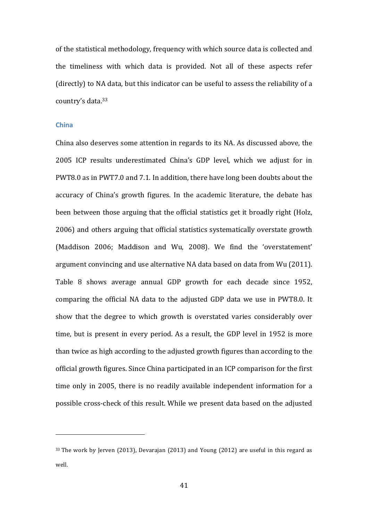of the statistical methodology, frequency with which source data is collected and the timeliness with which data is provided. Not all of these aspects refer (directly) to NA data, but this indicator can be useful to assess the reliability of a country's data.<sup>33</sup>

## **China**

China also deserves some attention in regards to its NA. As discussed above, the 2005 ICP results underestimated China's GDP level, which we adjust for in PWT8.0 as in PWT7.0 and 7.1. In addition, there have long been doubts about the accuracy of China's growth figures. In the academic literature, the debate has been between those arguing that the official statistics get it broadly right (Holz, 2006) and others arguing that official statistics systematically overstate growth (Maddison 2006; Maddison and Wu, 2008). We find the 'overstatement' argument convincing and use alternative NA data based on data from Wu (2011). Table 8 shows average annual GDP growth for each decade since 1952, comparing the official NA data to the adjusted GDP data we use in PWT8.0. It show that the degree to which growth is overstated varies considerably over time, but is present in every period. As a result, the GDP level in 1952 is more than twice as high according to the adjusted growth figures than according to the official growth figures. Since China participated in an ICP comparison for the first time only in 2005, there is no readily available independent information for a possible cross-check of this result. While we present data based on the adjusted

 $33$  The work by Jerven (2013), Devarajan (2013) and Young (2012) are useful in this regard as well.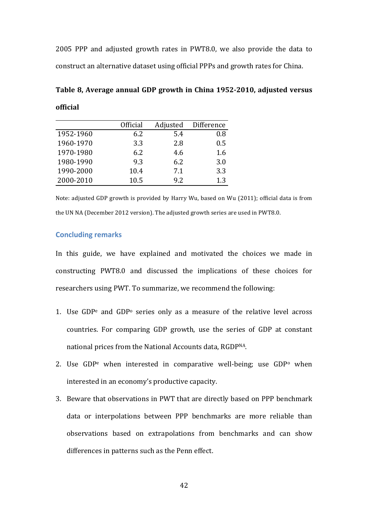2005 PPP and adjusted growth rates in PWT8.0, we also provide the data to construct an alternative dataset using official PPPs and growth rates for China.

Table 8, Average annual GDP growth in China 1952-2010, adjusted versus **official**

|           | Official | Adjusted | Difference |
|-----------|----------|----------|------------|
| 1952-1960 | 6.2      | 5.4      | 0.8        |
| 1960-1970 | 3.3      | 2.8      | 0.5        |
| 1970-1980 | 6.2      | 4.6      | 1.6        |
| 1980-1990 | 9.3      | 6.2      | 3.0        |
| 1990-2000 | 10.4     | 7.1      | 3.3        |
| 2000-2010 | 10.5     | 9.2      | 1.3        |

Note: adjusted GDP growth is provided by Harry Wu, based on Wu (2011); official data is from the UN NA (December 2012 version). The adjusted growth series are used in PWT8.0.

## **Concluding remarks**

In this guide, we have explained and motivated the choices we made in constructing PWT8.0 and discussed the implications of these choices for researchers using PWT. To summarize, we recommend the following:

- 1. Use GDP<sup>e</sup> and GDP<sup>o</sup> series only as a measure of the relative level across countries. For comparing GDP growth, use the series of GDP at constant national prices from the National Accounts data, RGDPNA.
- 2. Use  $GDP<sup>e</sup>$  when interested in comparative well-being; use  $GDP<sup>o</sup>$  when interested in an economy's productive capacity.
- 3. Beware that observations in PWT that are directly based on PPP benchmark data or interpolations between PPP benchmarks are more reliable than observations based on extrapolations from benchmarks and can show differences in patterns such as the Penn effect.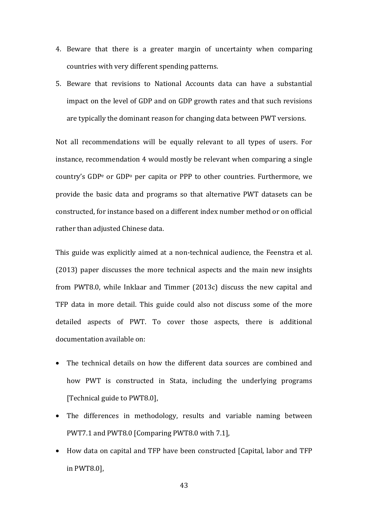- 4. Beware that there is a greater margin of uncertainty when comparing countries with very different spending patterns.
- 5. Beware that revisions to National Accounts data can have a substantial impact on the level of GDP and on GDP growth rates and that such revisions are typically the dominant reason for changing data between PWT versions.

Not all recommendations will be equally relevant to all types of users. For instance, recommendation 4 would mostly be relevant when comparing a single country's GDP<sup>e</sup> or GDP<sup>o</sup> per capita or PPP to other countries. Furthermore, we provide the basic data and programs so that alternative PWT datasets can be constructed, for instance based on a different index number method or on official rather than adjusted Chinese data.

This guide was explicitly aimed at a non-technical audience, the Feenstra et al.  $(2013)$  paper discusses the more technical aspects and the main new insights from PWT8.0, while Inklaar and Timmer (2013c) discuss the new capital and TFP data in more detail. This guide could also not discuss some of the more detailed aspects of PWT. To cover those aspects, there is additional documentation available on:

- The technical details on how the different data sources are combined and how PWT is constructed in Stata, including the underlying programs [Technical guide to PWT8.0],
- The differences in methodology, results and variable naming between PWT7.1 and PWT8.0 [Comparing PWT8.0 with 7.1],
- How data on capital and TFP have been constructed [Capital, labor and TFP in PWT8.0],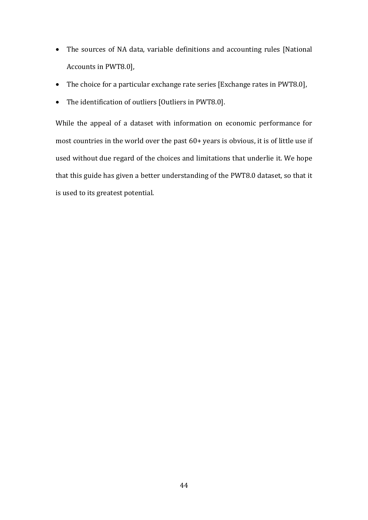- The sources of NA data, variable definitions and accounting rules [National Accounts in PWT8.0],
- The choice for a particular exchange rate series [Exchange rates in PWT8.0],
- The identification of outliers [Outliers in PWT8.0].

While the appeal of a dataset with information on economic performance for most countries in the world over the past  $60+$  years is obvious, it is of little use if used without due regard of the choices and limitations that underlie it. We hope that this guide has given a better understanding of the PWT8.0 dataset, so that it is used to its greatest potential.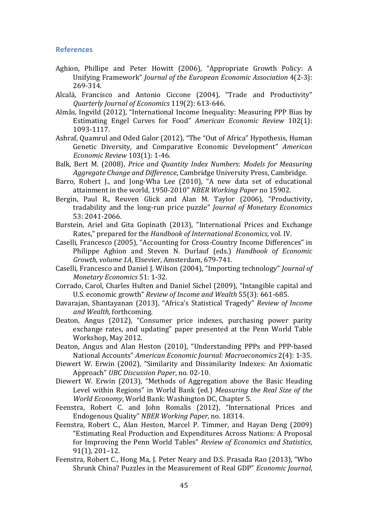## **References**

- Aghion, Phillipe and Peter Howitt (2006), "Appropriate Growth Policy: A Unifying Framework" *Journal of the European Economic Association* 4(2-3): 269-314.
- Alcalá, Francisco and Antonio Ciccone (2004), "Trade and Productivity" *Quarterly Journal of Economics* 119(2): 613-646.
- Almås, Ingvild (2012), "International Income Inequality: Measuring PPP Bias by Estimating Engel Curves for Food" *American Economic Review* 102(1): 1093-1117.
- Ashraf, Quamrul and Oded Galor (2012), "The "Out of Africa" Hypothesis, Human Genetic Diversity, and Comparative Economic Development" *American Economic Review* 103(1): 1-46.
- Balk, Bert M. (2008), *Price and Quantity Index Numbers: Models for Measuring Aggregate Change and Difference*, Cambridge University Press, Cambridge.
- Barro, Robert J., and Jong-Wha Lee (2010), "A new data set of educational attainment in the world, 1950-2010" NBER Working Paper no 15902.
- Bergin, Paul R., Reuven Glick and Alan M. Taylor (2006), "Productivity, tradability and the long-run price puzzle" *Journal of Monetary Economics* 53: 2041-2066.
- Burstein, Ariel and Gita Gopinath (2013), "International Prices and Exchange Rates," prepared for the *Handbook of International Economics*, vol. IV.
- Caselli, Francesco (2005), "Accounting for Cross-Country Income Differences" in Philippe Aghion and Steven N. Durlauf (eds.) *Handbook of Economic* Growth, volume 1A, Elsevier, Amsterdam, 679-741.
- Caselli, Francesco and Daniel J. Wilson (2004), "Importing technology" *Journal of Monetary Economics* 51: 1-32.
- Corrado, Carol, Charles Hulten and Daniel Sichel (2009), "Intangible capital and U.S. economic growth" *Review of Income and Wealth* 55(3): 661-685.
- Davarajan, Shantayanan (2013), "Africa's Statistical Tragedy" *Review of Income and Wealth,* forthcoming.
- Deaton, Angus (2012), "Consumer price indexes, purchasing power parity exchange rates, and updating" paper presented at the Penn World Table Workshop, May 2012.
- Deaton, Angus and Alan Heston (2010), "Understanding PPPs and PPP-based National Accounts" *American Economic Journal: Macroeconomics* 2(4): 1-35.
- Diewert W. Erwin (2002), "Similarity and Dissimilarity Indexes: An Axiomatic Approach" *UBC Discussion Paper*, no. 02-10.
- Diewert W. Erwin (2013), "Methods of Aggregation above the Basic Heading Level within Regions" in World Bank (ed.) *Measuring the Real Size of the World Economy*, World Bank: Washington DC, Chapter 5.
- Feenstra, Robert C. and John Romalis (2012), "International Prices and Endogenous Quality" *NBER Working Paper*, no. 18314.
- Feenstra, Robert C., Alan Heston, Marcel P. Timmer, and Hayan Deng (2009) "Estimating Real Production and Expenditures Across Nations: A Proposal for Improving the Penn World Tables" *Review of Economics and Statistics*,  $91(1)$ ,  $201-12$ .
- Feenstra, Robert C., Hong Ma, J. Peter Neary and D.S. Prasada Rao (2013), "Who Shrunk China? Puzzles in the Measurement of Real GDP" *Economic Journal*,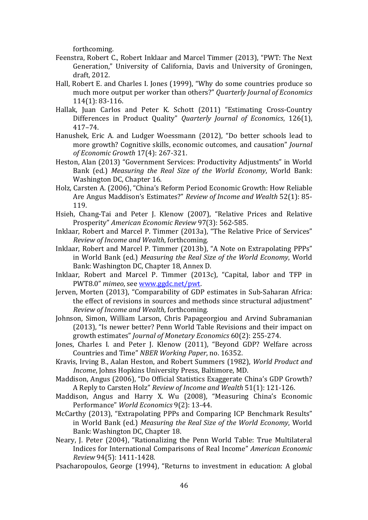forthcoming.

- Feenstra, Robert C., Robert Inklaar and Marcel Timmer (2013), "PWT: The Next Generation," University of California, Davis and University of Groningen, draft, 2012.
- Hall, Robert E. and Charles I. Jones (1999), "Why do some countries produce so much more output per worker than others?" *Quarterly Journal of Economics* 114(1): 83-116.
- Hallak, Juan Carlos and Peter K. Schott (2011) "Estimating Cross-Country Differences in Product Quality" *Quarterly Journal of Economics*, 126(1), 417–74.
- Hanushek, Eric A. and Ludger Woessmann (2012), "Do better schools lead to more growth? Cognitive skills, economic outcomes, and causation" *Journal of Economic Growth* 17(4): 267-321.
- Heston, Alan (2013) "Government Services: Productivity Adjustments" in World Bank (ed.) *Measuring the Real Size of the World Economy*, World Bank: Washington DC, Chapter 16.
- Holz, Carsten A. (2006), "China's Reform Period Economic Growth: How Reliable Are Angus Maddison's Estimates?" Review of Income and Wealth 52(1): 85-119.
- Hsieh, Chang-Tai and Peter J. Klenow (2007), "Relative Prices and Relative Prosperity" American Economic Review 97(3): 562-585.
- Inklaar, Robert and Marcel P. Timmer (2013a), "The Relative Price of Services" *Review of Income and Wealth*, forthcoming.
- Inklaar, Robert and Marcel P. Timmer (2013b), "A Note on Extrapolating PPPs" in World Bank (ed.) *Measuring the Real Size of the World Economy*, World Bank: Washington DC, Chapter 18, Annex D.
- Inklaar, Robert and Marcel P. Timmer (2013c), "Capital, labor and TFP in PWT8.0" mimeo, see www.ggdc.net/pwt.
- Jerven, Morten (2013), "Comparability of GDP estimates in Sub-Saharan Africa: the effect of revisions in sources and methods since structural adjustment" *Review of Income and Wealth*, forthcoming.
- Johnson, Simon, William Larson, Chris Papageorgiou and Arvind Subramanian (2013), "Is newer better? Penn World Table Revisions and their impact on growth estimates" *Journal of Monetary Economics* 60(2): 255-274.
- Jones, Charles I. and Peter J. Klenow (2011), "Beyond GDP? Welfare across Countries and Time" NBER Working Paper, no. 16352.
- Kravis, Irving B., Aalan Heston, and Robert Summers (1982), *World Product and Income*, Johns Hopkins University Press, Baltimore, MD.
- Maddison, Angus (2006), "Do Official Statistics Exaggerate China's GDP Growth? A Reply to Carsten Holz" Review of Income and Wealth 51(1): 121-126.
- Maddison, Angus and Harry X. Wu (2008), "Measuring China's Economic Performance" *World Economics* 9(2): 13-44.
- McCarthy (2013), "Extrapolating PPPs and Comparing ICP Benchmark Results" in World Bank (ed.) *Measuring the Real Size of the World Economy*, World Bank: Washington DC, Chapter 18.
- Neary, J. Peter (2004), "Rationalizing the Penn World Table: True Multilateral Indices for International Comparisons of Real Income" American Economic *Review* 94(5): 1411-1428.
- Psacharopoulos, George (1994), "Returns to investment in education: A global